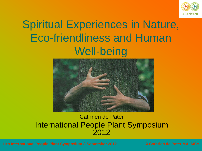

# Spiritual Experiences in Nature, Eco-friendliness and Human Well-being



#### Cathrien de Pater International People Plant Symposium 2012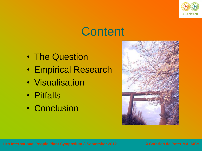

# **Content**

- The Question
- Empirical Research
- Visualisation
- Pitfalls
- Conclusion

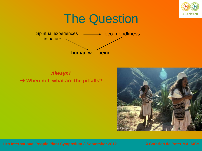

## The Question



#### *Always?* **→ When not, what are the pitfalls?**

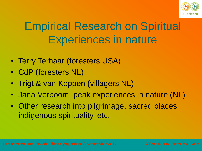

# Empirical Research on Spiritual Experiences in nature

- Terry Terhaar (foresters USA)
- CdP (foresters NL)
- Trigt & van Koppen (villagers NL)
- Jana Verboom: peak experiences in nature (NL)
- Other research into pilgrimage, sacred places, indigenous spirituality, etc.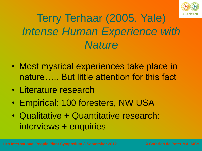

# Terry Terhaar (2005, Yale) *Intense Human Experience with Nature*

- Most mystical experiences take place in nature….. But little attention for this fact
- Literature research
- Empirical: 100 foresters, NW USA
- Qualitative + Quantitative research: interviews + enquiries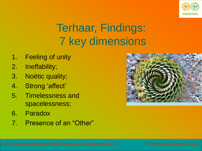

# Terhaar, Findings: 7 key dimensions

- 1. Feeling of unity
- 2. Ineffability;
- 3. Noëtic quality;
- 4. Strong 'affect'
- 5. Timelessness and spacelessness;
- 6. Paradox
- 7. Presence of an "Other"

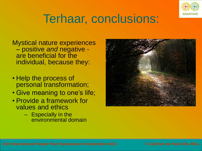

# Terhaar, conclusions:

Mystical nature experiences – positive *and* negative are beneficial for the individual, because they:

- Help the process of personal transformation;
- Give meaning to one's life;
- Provide a framework for values and ethics
	- Especially in the environmental domain

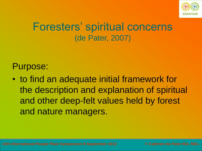

### Foresters' spiritual concerns (de Pater, 2007)

#### Purpose:

• to find an adequate initial framework for the description and explanation of spiritual and other deep-felt values held by forest and nature managers.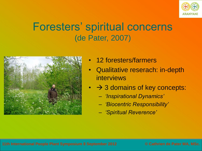

### Foresters' spiritual concerns (de Pater, 2007)



- 12 foresters/farmers
- Qualitative reserach: in-depth interviews
- $\rightarrow$  3 domains of key concepts:
	- *'Inspirational Dynamics'*
	- *'Biocentric Responsibility'*
	- *'Spiritual Reverence'*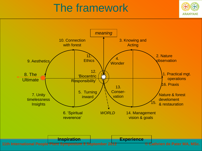## The framework



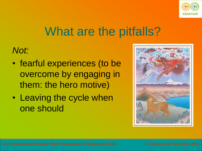

## What are the pitfalls?

*Not:*

- fearful experiences (to be overcome by engaging in them: the hero motive)
- Leaving the cycle when one should

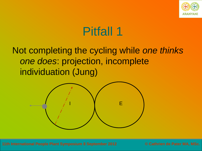

#### Not completing the cycling while *one thinks one does*: projection, incomplete individuation (Jung)

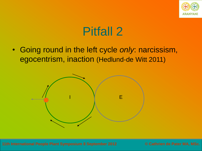

• Going round in the left cycle *only*: narcissism, egocentrism, inaction (Hedlund-de Witt 2011)

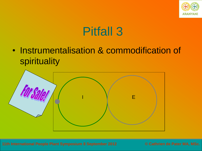

• Instrumentalisation & commodification of spirituality

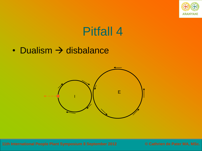

• Dualism  $\rightarrow$  disbalance

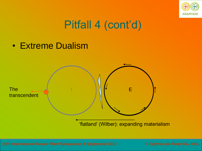

## Pitfall 4 (cont'd)

• Extreme Dualism

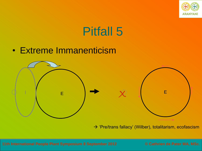

#### • Extreme Immanenticism



 $\rightarrow$  'Pre/trans fallacy' (Wilber), totalitarism, ecofascism